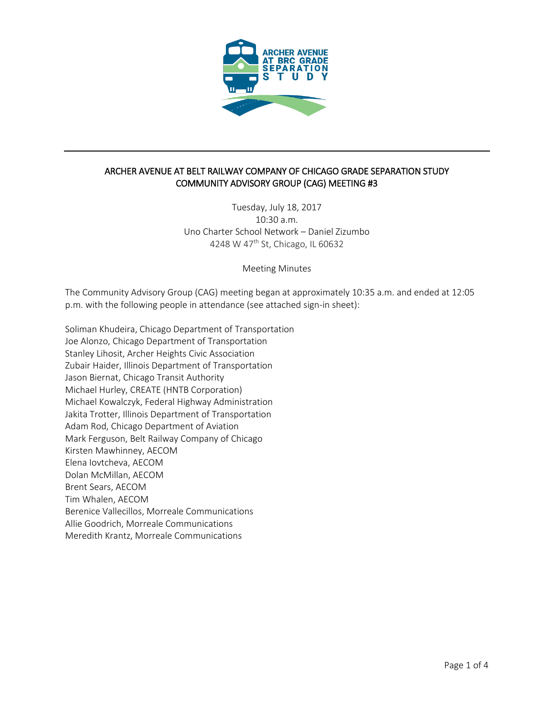

# ARCHER AVENUE AT BELT RAILWAY COMPANY OF CHICAGO GRADE SEPARATION STUDY COMMUNITY ADVISORY GROUP (CAG) MEETING #3

Tuesday, July 18, 2017 10:30 a.m. Uno Charter School Network – Daniel Zizumbo 4248 W 47th St, Chicago, IL 60632

Meeting Minutes

The Community Advisory Group (CAG) meeting began at approximately 10:35 a.m. and ended at 12:05 p.m. with the following people in attendance (see attached sign-in sheet):

Soliman Khudeira, Chicago Department of Transportation Joe Alonzo, Chicago Department of Transportation Stanley Lihosit, Archer Heights Civic Association Zubair Haider, Illinois Department of Transportation Jason Biernat, Chicago Transit Authority Michael Hurley, CREATE (HNTB Corporation) Michael Kowalczyk, Federal Highway Administration Jakita Trotter, Illinois Department of Transportation Adam Rod, Chicago Department of Aviation Mark Ferguson, Belt Railway Company of Chicago Kirsten Mawhinney, AECOM Elena Iovtcheva, AECOM Dolan McMillan, AECOM Brent Sears, AECOM Tim Whalen, AECOM Berenice Vallecillos, Morreale Communications Allie Goodrich, Morreale Communications Meredith Krantz, Morreale Communications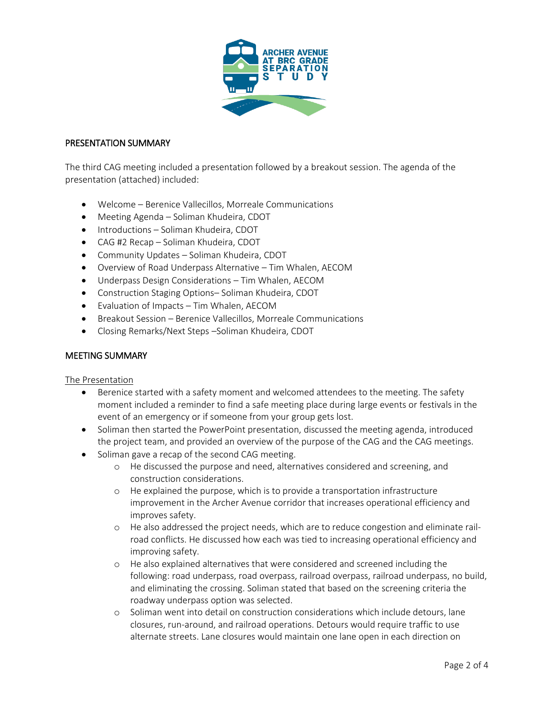

### PRESENTATION SUMMARY

The third CAG meeting included a presentation followed by a breakout session. The agenda of the presentation (attached) included:

- Welcome Berenice Vallecillos, Morreale Communications
- Meeting Agenda Soliman Khudeira, CDOT
- Introductions Soliman Khudeira, CDOT
- CAG #2 Recap Soliman Khudeira, CDOT
- Community Updates Soliman Khudeira, CDOT
- Overview of Road Underpass Alternative Tim Whalen, AECOM
- Underpass Design Considerations Tim Whalen, AECOM
- Construction Staging Options– Soliman Khudeira, CDOT
- Evaluation of Impacts Tim Whalen, AECOM
- Breakout Session Berenice Vallecillos, Morreale Communications
- Closing Remarks/Next Steps –Soliman Khudeira, CDOT

### MEETING SUMMARY

### The Presentation

- Berenice started with a safety moment and welcomed attendees to the meeting. The safety moment included a reminder to find a safe meeting place during large events or festivals in the event of an emergency or if someone from your group gets lost.
- Soliman then started the PowerPoint presentation, discussed the meeting agenda, introduced the project team, and provided an overview of the purpose of the CAG and the CAG meetings.
- Soliman gave a recap of the second CAG meeting.
	- o He discussed the purpose and need, alternatives considered and screening, and construction considerations.
	- o He explained the purpose, which is to provide a transportation infrastructure improvement in the Archer Avenue corridor that increases operational efficiency and improves safety.
	- o He also addressed the project needs, which are to reduce congestion and eliminate railroad conflicts. He discussed how each was tied to increasing operational efficiency and improving safety.
	- o He also explained alternatives that were considered and screened including the following: road underpass, road overpass, railroad overpass, railroad underpass, no build, and eliminating the crossing. Soliman stated that based on the screening criteria the roadway underpass option was selected.
	- o Soliman went into detail on construction considerations which include detours, lane closures, run-around, and railroad operations. Detours would require traffic to use alternate streets. Lane closures would maintain one lane open in each direction on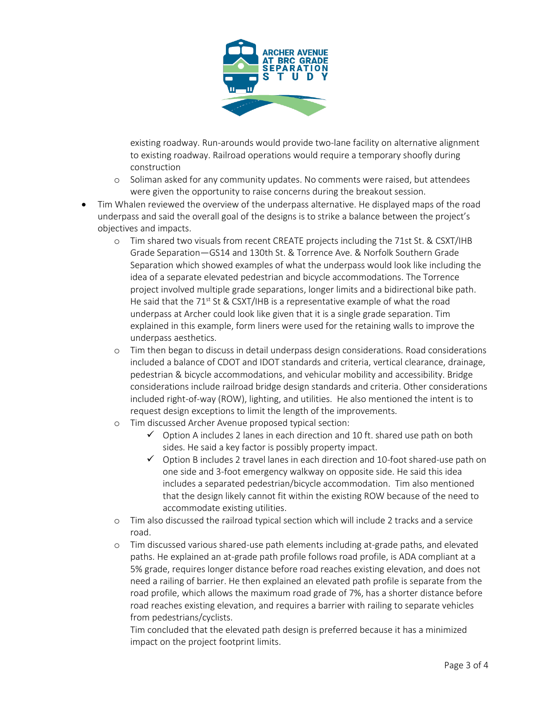

existing roadway. Run-arounds would provide two-lane facility on alternative alignment to existing roadway. Railroad operations would require a temporary shoofly during construction

- o Soliman asked for any community updates. No comments were raised, but attendees were given the opportunity to raise concerns during the breakout session.
- Tim Whalen reviewed the overview of the underpass alternative. He displayed maps of the road underpass and said the overall goal of the designs is to strike a balance between the project's objectives and impacts.
	- o Tim shared two visuals from recent CREATE projects including the 71st St. & CSXT/IHB Grade Separation—GS14 and 130th St. & Torrence Ave. & Norfolk Southern Grade Separation which showed examples of what the underpass would look like including the idea of a separate elevated pedestrian and bicycle accommodations. The Torrence project involved multiple grade separations, longer limits and a bidirectional bike path. He said that the  $71^{st}$  St & CSXT/IHB is a representative example of what the road underpass at Archer could look like given that it is a single grade separation. Tim explained in this example, form liners were used for the retaining walls to improve the underpass aesthetics.
	- o Tim then began to discuss in detail underpass design considerations. Road considerations included a balance of CDOT and IDOT standards and criteria, vertical clearance, drainage, pedestrian & bicycle accommodations, and vehicular mobility and accessibility. Bridge considerations include railroad bridge design standards and criteria. Other considerations included right-of-way (ROW), lighting, and utilities. He also mentioned the intent is to request design exceptions to limit the length of the improvements.
	- o Tim discussed Archer Avenue proposed typical section:
		- $\checkmark$  Option A includes 2 lanes in each direction and 10 ft. shared use path on both sides. He said a key factor is possibly property impact.
		- $\checkmark$  Option B includes 2 travel lanes in each direction and 10-foot shared-use path on one side and 3-foot emergency walkway on opposite side. He said this idea includes a separated pedestrian/bicycle accommodation. Tim also mentioned that the design likely cannot fit within the existing ROW because of the need to accommodate existing utilities.
	- o Tim also discussed the railroad typical section which will include 2 tracks and a service road.
	- o Tim discussed various shared-use path elements including at-grade paths, and elevated paths. He explained an at-grade path profile follows road profile, is ADA compliant at a 5% grade, requires longer distance before road reaches existing elevation, and does not need a railing of barrier. He then explained an elevated path profile is separate from the road profile, which allows the maximum road grade of 7%, has a shorter distance before road reaches existing elevation, and requires a barrier with railing to separate vehicles from pedestrians/cyclists.

Tim concluded that the elevated path design is preferred because it has a minimized impact on the project footprint limits.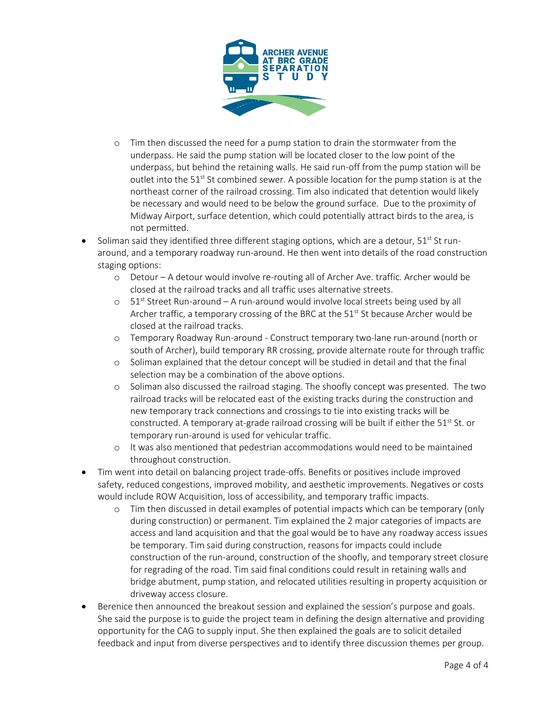

- o Tim then discussed the need for a pump station to drain the stormwater from the underpass. He said the pump station will be located closer to the low point of the underpass, but behind the retaining walls. He said run-off from the pump station will be outlet into the  $51^{st}$  St combined sewer. A possible location for the pump station is at the northeast corner of the railroad crossing. Tim also indicated that detention would likely be necessary and would need to be below the ground surface. Due to the proximity of Midway Airport, surface detention, which could potentially attract birds to the area, is not permitted.
- Soliman said they identified three different staging options, which are a detour,  $51<sup>st</sup>$  St runaround, and a temporary roadway run-around. He then went into details of the road construction staging options:
	- o Detour A detour would involve re-routing all of Archer Ave. traffic. Archer would be closed at the railroad tracks and all traffic uses alternative streets.
	- $\circ$  51<sup>st</sup> Street Run-around A run-around would involve local streets being used by all Archer traffic, a temporary crossing of the BRC at the  $51<sup>st</sup>$  St because Archer would be closed at the railroad tracks.
	- o Temporary Roadway Run-around Construct temporary two-lane run-around (north or south of Archer), build temporary RR crossing, provide alternate route for through traffic
	- o Soliman explained that the detour concept will be studied in detail and that the final selection may be a combination of the above options.
	- o Soliman also discussed the railroad staging. The shoofly concept was presented. The two railroad tracks will be relocated east of the existing tracks during the construction and new temporary track connections and crossings to tie into existing tracks will be constructed. A temporary at-grade railroad crossing will be built if either the  $51^{st}$  St. or temporary run-around is used for vehicular traffic.
	- o It was also mentioned that pedestrian accommodations would need to be maintained throughout construction.
- Tim went into detail on balancing project trade-offs. Benefits or positives include improved safety, reduced congestions, improved mobility, and aesthetic improvements. Negatives or costs would include ROW Acquisition, loss of accessibility, and temporary traffic impacts.
	- o Tim then discussed in detail examples of potential impacts which can be temporary (only during construction) or permanent. Tim explained the 2 major categories of impacts are access and land acquisition and that the goal would be to have any roadway access issues be temporary. Tim said during construction, reasons for impacts could include construction of the run-around, construction of the shoofly, and temporary street closure for regrading of the road. Tim said final conditions could result in retaining walls and bridge abutment, pump station, and relocated utilities resulting in property acquisition or driveway access closure.
- Berenice then announced the breakout session and explained the session's purpose and goals. She said the purpose is to guide the project team in defining the design alternative and providing opportunity for the CAG to supply input. She then explained the goals are to solicit detailed feedback and input from diverse perspectives and to identify three discussion themes per group.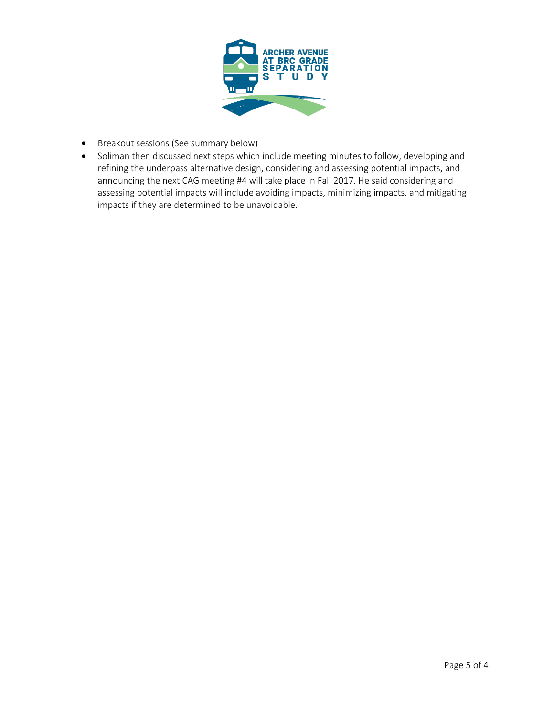

- Breakout sessions (See summary below)
- Soliman then discussed next steps which include meeting minutes to follow, developing and refining the underpass alternative design, considering and assessing potential impacts, and announcing the next CAG meeting #4 will take place in Fall 2017. He said considering and assessing potential impacts will include avoiding impacts, minimizing impacts, and mitigating impacts if they are determined to be unavoidable.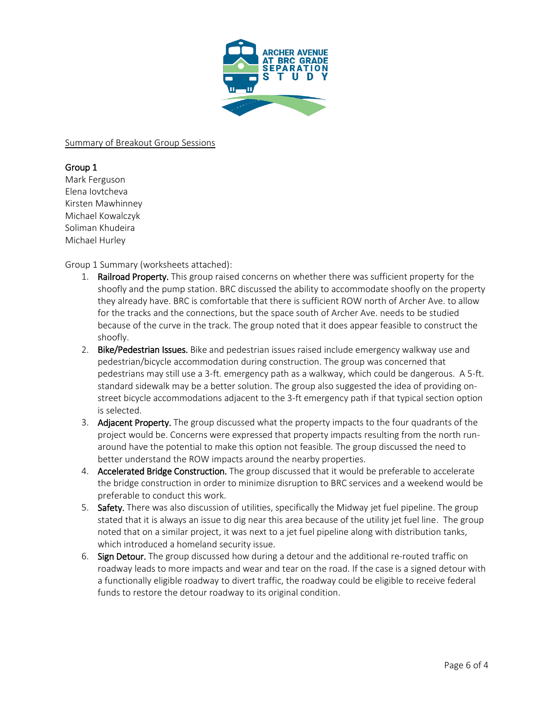

### Summary of Breakout Group Sessions

# Group 1

Mark Ferguson Elena Iovtcheva Kirsten Mawhinney Michael Kowalczyk Soliman Khudeira Michael Hurley

# Group 1 Summary (worksheets attached):

- 1. **Railroad Property.** This group raised concerns on whether there was sufficient property for the shoofly and the pump station. BRC discussed the ability to accommodate shoofly on the property they already have. BRC is comfortable that there is sufficient ROW north of Archer Ave. to allow for the tracks and the connections, but the space south of Archer Ave. needs to be studied because of the curve in the track. The group noted that it does appear feasible to construct the shoofly.
- 2. Bike/Pedestrian Issues. Bike and pedestrian issues raised include emergency walkway use and pedestrian/bicycle accommodation during construction. The group was concerned that pedestrians may still use a 3-ft. emergency path as a walkway, which could be dangerous. A 5-ft. standard sidewalk may be a better solution. The group also suggested the idea of providing onstreet bicycle accommodations adjacent to the 3-ft emergency path if that typical section option is selected.
- 3. Adjacent Property. The group discussed what the property impacts to the four quadrants of the project would be. Concerns were expressed that property impacts resulting from the north runaround have the potential to make this option not feasible. The group discussed the need to better understand the ROW impacts around the nearby properties.
- 4. Accelerated Bridge Construction. The group discussed that it would be preferable to accelerate the bridge construction in order to minimize disruption to BRC services and a weekend would be preferable to conduct this work.
- 5. Safety. There was also discussion of utilities, specifically the Midway jet fuel pipeline. The group stated that it is always an issue to dig near this area because of the utility jet fuel line. The group noted that on a similar project, it was next to a jet fuel pipeline along with distribution tanks, which introduced a homeland security issue.
- 6. Sign Detour. The group discussed how during a detour and the additional re-routed traffic on roadway leads to more impacts and wear and tear on the road. If the case is a signed detour with a functionally eligible roadway to divert traffic, the roadway could be eligible to receive federal funds to restore the detour roadway to its original condition.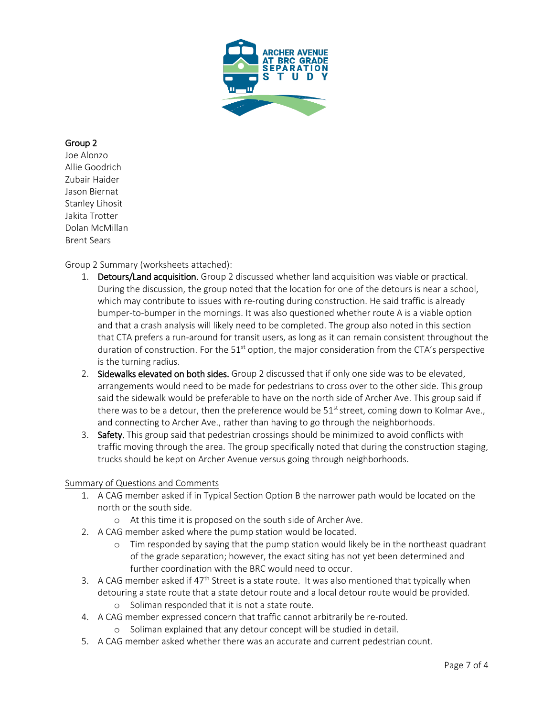

# Group 2

Joe Alonzo Allie Goodrich Zubair Haider Jason Biernat Stanley Lihosit Jakita Trotter Dolan McMillan Brent Sears

# Group 2 Summary (worksheets attached):

- 1. Detours/Land acquisition. Group 2 discussed whether land acquisition was viable or practical. During the discussion, the group noted that the location for one of the detours is near a school, which may contribute to issues with re-routing during construction. He said traffic is already bumper-to-bumper in the mornings. It was also questioned whether route A is a viable option and that a crash analysis will likely need to be completed. The group also noted in this section that CTA prefers a run-around for transit users, as long as it can remain consistent throughout the duration of construction. For the  $51<sup>st</sup>$  option, the major consideration from the CTA's perspective is the turning radius.
- 2. Sidewalks elevated on both sides. Group 2 discussed that if only one side was to be elevated, arrangements would need to be made for pedestrians to cross over to the other side. This group said the sidewalk would be preferable to have on the north side of Archer Ave. This group said if there was to be a detour, then the preference would be  $51<sup>st</sup>$  street, coming down to Kolmar Ave., and connecting to Archer Ave., rather than having to go through the neighborhoods.
- 3. Safety. This group said that pedestrian crossings should be minimized to avoid conflicts with traffic moving through the area. The group specifically noted that during the construction staging, trucks should be kept on Archer Avenue versus going through neighborhoods.

### Summary of Questions and Comments

- 1. A CAG member asked if in Typical Section Option B the narrower path would be located on the north or the south side.
	- o At this time it is proposed on the south side of Archer Ave.
- 2. A CAG member asked where the pump station would be located.
	- o Tim responded by saying that the pump station would likely be in the northeast quadrant of the grade separation; however, the exact siting has not yet been determined and further coordination with the BRC would need to occur.
- 3. A CAG member asked if  $47<sup>th</sup>$  Street is a state route. It was also mentioned that typically when detouring a state route that a state detour route and a local detour route would be provided.
	- o Soliman responded that it is not a state route.
- 4. A CAG member expressed concern that traffic cannot arbitrarily be re-routed.
	- o Soliman explained that any detour concept will be studied in detail.
- 5. A CAG member asked whether there was an accurate and current pedestrian count.